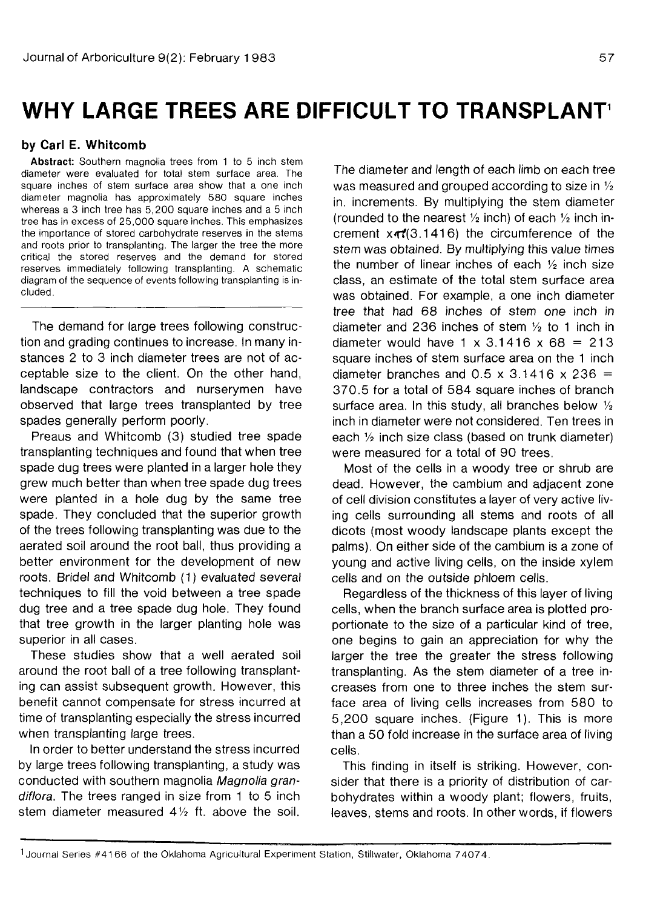# **WHY LARGE TREES ARE DIFFICULT TO TRANSPLANT<sup>1</sup>**

## **by Carl E. Whitcomb**

**Abstract:** Southern magnolia trees from 1 to 5 inch stem diameter were evaluated for total stem surface area. The square inches of stem surface area show that a one inch diameter magnolia has approximately 580 square inches whereas a 3 inch tree has 5,200 square inches and a 5 inch tree has in excess of 25,000 square inches. This emphasizes the importance of stored carbohydrate reserves in the stems and roots prior to transplanting. The larger the tree the more critical the stored reserves and the demand for stored reserves immediately following transplanting. A schematic diagram of the sequence of events following transplanting is included.

The demand for large trees following construction and grading continues to increase. In many instances 2 to 3 inch diameter trees are not of acceptable size to the client. On the other hand, landscape contractors and nurserymen have observed that large trees transplanted by tree spades generally perform poorly.

Preaus and Whitcomb (3) studied tree spade transplanting techniques and found that when tree spade dug trees were planted in a larger hole they grew much better than when tree spade dug trees were planted in a hole dug by the same tree spade. They concluded that the superior growth of the trees following transplanting was due to the aerated soil around the root ball, thus providing a better environment for the development of new roots. Bridel and Whitcomb (1) evaluated several techniques to fill the void between a tree spade dug tree and a tree spade dug hole. They found that tree growth in the larger planting hole was superior in all cases.

These studies show that a well aerated soil around the root ball of a tree following transplanting can assist subsequent growth. However, this benefit cannot compensate for stress incurred at time of transplanting especially the stress incurred when transplanting large trees.

In order to better understand the stress incurred by large trees following transplanting, a study was conducted with southern magnolia Magnolia grandiflora. The trees ranged in size from 1 to 5 inch stem diameter measured  $4\frac{1}{2}$  ft. above the soil.

The diameter and length of each limb on each tree was measured and grouped according to size in  $\frac{1}{2}$ in. increments. By multiplying the stem diameter (rounded to the nearest  $\frac{1}{2}$  inch) of each  $\frac{1}{2}$  inch increment  $x \pi/(3.1416)$  the circumference of the stem was obtained. By multiplying this value times the number of linear inches of each  $\frac{1}{2}$  inch size class, an estimate of the total stem surface area was obtained. For example, a one inch diameter tree that had 68 inches of stem one inch in diameter and 236 inches of stem  $\frac{1}{2}$  to 1 inch in diameter would have  $1 \times 3.1416 \times 68 = 213$ square inches of stem surface area on the 1 inch diameter branches and  $0.5 \times 3.1416 \times 236 =$ 370.5 for a total of 584 square inches of branch surface area. In this study, all branches below  $\frac{1}{2}$ inch in diameter were not considered. Ten trees in each  $\frac{1}{2}$  inch size class (based on trunk diameter) were measured for a total of 90 trees.

Most of the cells in a woody tree or shrub are dead. However, the cambium and adjacent zone of cell division constitutes a layer of very active living cells surrounding all stems and roots of all dicots (most woody landscape plants except the palms). On either side of the cambium is a zone of young and active living cells, on the inside xylem cells and on the outside phloem cells.

Regardless of the thickness of this layer of living cells, when the branch surface area is plotted proportionate to the size of a particular kind of tree, one begins to gain an appreciation for why the larger the tree the greater the stress following transplanting. As the stem diameter of a tree increases from one to three inches the stem surface area of living cells increases from 580 to 5,200 square inches. (Figure 1). This is more than a 50 fold increase in the surface area of living cells.

This finding in itself is striking. However, consider that there is a priority of distribution of carbohydrates within a woody plant; flowers, fruits, leaves, stems and roots. In other words, if flowers

<sup>1</sup> Journal Series #4166 of the Oklahoma Agricultural Experiment Station, Stillwater, Oklahoma 74074.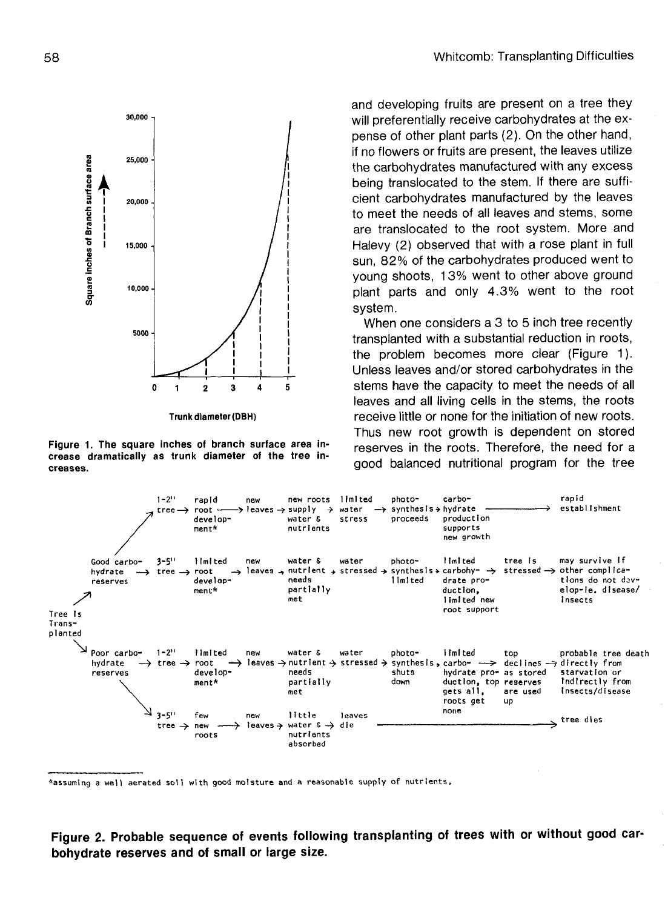

**Trunk diameter (DBH)**

**Figure 1. The square inches of branch surface area increase dramatically as trunk diameter of the tree increases.**

and developing fruits are present on a tree they will preferentially receive carbohydrates at the expense of other plant parts (2). On the other hand, if no flowers or fruits are present, the leaves utilize the carbohydrates manufactured with any excess being translocated to the stem. If there are sufficient carbohydrates manufactured by the leaves to meet the needs of all leaves and stems, some are translocated to the root system. More and Halevy (2) observed that with a rose plant in full sun, 82% of the carbohydrates produced went to young shoots, 13% went to other above ground plant parts and only 4.3% went to the root system.

When one considers a 3 to 5 inch tree recently transplanted with a substantial reduction in roots, the problem becomes more clear (Figure 1). Unless leaves and/or stored carbohydrates in the stems have the capacity to meet the needs of all leaves and all living cells in the stems, the roots receive little or none for the initiation of new roots. Thus new root growth is dependent on stored reserves in the roots. Therefore, the need for a good balanced nutritional program for the tree



**"assuming a well aerated soil with good moisture and a reasonable supply of nutrients.**

**Figure 2. Probable sequence of events following transplanting of trees with or without good carbohydrate reserves and of small or large size.**